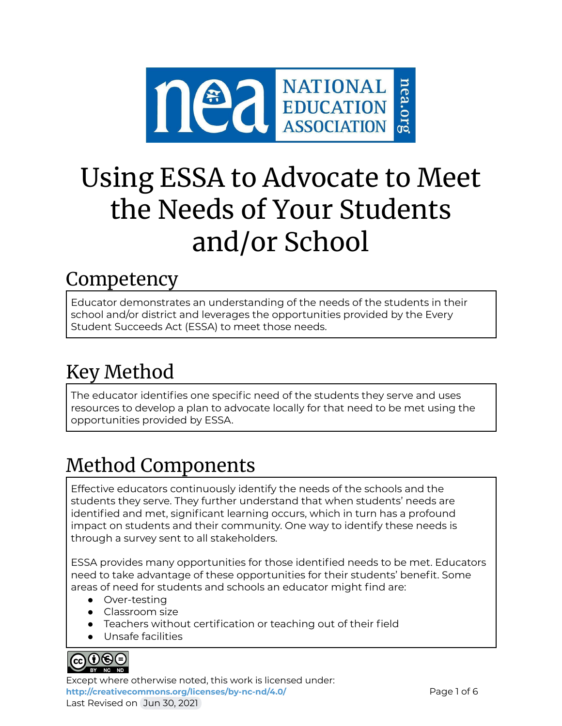

# Using ESSA to Advocate to Meet the Needs of Your Students and/or School

### **Competency**

Educator demonstrates an understanding of the needs of the students in their school and/or district and leverages the opportunities provided by the Every Student Succeeds Act (ESSA) to meet those needs.

## Key Method

The educator identifies one specific need of the students they serve and uses resources to develop a plan to advocate locally for that need to be met using the opportunities provided by ESSA.

# Method Components

Effective educators continuously identify the needs of the schools and the students they serve. They further understand that when students' needs are identified and met, significant learning occurs, which in turn has a profound impact on students and their community. One way to identify these needs is through a survey sent to all stakeholders.

ESSA provides many opportunities for those identified needs to be met. Educators need to take advantage of these opportunities for their students' benefit. Some areas of need for students and schools an educator might find are:

- Over-testing
- Classroom size
- Teachers without certification or teaching out of their field
- Unsafe facilities



Except where otherwise noted, this work is licensed under: <http://creativecommons.org/licenses/by-nc-nd/4.0/> **Page 1 of 6** Last Revised on Jun 30, 2021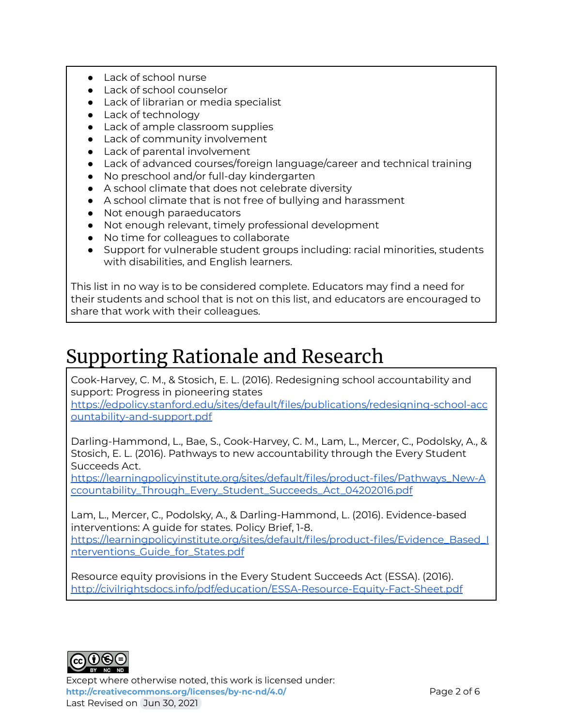- Lack of school nurse
- Lack of school counselor
- Lack of librarian or media specialist
- Lack of technology
- Lack of ample classroom supplies
- Lack of community involvement
- Lack of parental involvement
- Lack of advanced courses/foreign language/career and technical training
- No preschool and/or full-day kindergarten
- A school climate that does not celebrate diversity
- A school climate that is not free of bullying and harassment
- Not enough paraeducators
- Not enough relevant, timely professional development
- No time for colleagues to collaborate
- Support for vulnerable student groups including: racial minorities, students with disabilities, and English learners.

This list in no way is to be considered complete. Educators may find a need for their students and school that is not on this list, and educators are encouraged to share that work with their colleagues.

### Supporting Rationale and Research

Cook-Harvey, C. M., & Stosich, E. L. (2016). Redesigning school accountability and support: Progress in pioneering states

[https://edpolicy.stanford.edu/sites/default/files/publications/redesigning-school-acc](https://edpolicy.stanford.edu/sites/default/files/publications/redesigning-school-accountability-and-support.pdf) [ountability-and-support.pdf](https://edpolicy.stanford.edu/sites/default/files/publications/redesigning-school-accountability-and-support.pdf)

Darling-Hammond, L., Bae, S., Cook-Harvey, C. M., Lam, L., Mercer, C., Podolsky, A., & Stosich, E. L. (2016). Pathways to new accountability through the Every Student Succeeds Act.

[https://learningpolicyinstitute.org/sites/default/files/product-files/Pathways\\_New-A](https://learningpolicyinstitute.org/sites/default/files/product-files/Pathways_New-Accountability_Through_Every_Student_Succeeds_Act_04202016.pdf) [ccountability\\_Through\\_Every\\_Student\\_Succeeds\\_Act\\_04202016.pdf](https://learningpolicyinstitute.org/sites/default/files/product-files/Pathways_New-Accountability_Through_Every_Student_Succeeds_Act_04202016.pdf)

Lam, L., Mercer, C., Podolsky, A., & Darling-Hammond, L. (2016). Evidence-based interventions: A guide for states. Policy Brief, 1-8. [https://learningpolicyinstitute.org/sites/default/files/product-files/Evidence\\_Based\\_I](https://learningpolicyinstitute.org/sites/default/files/product-files/Evidence_Based_Interventions_Guide_for_States.pdf) [nterventions\\_Guide\\_for\\_States.pdf](https://learningpolicyinstitute.org/sites/default/files/product-files/Evidence_Based_Interventions_Guide_for_States.pdf)

Resource equity provisions in the Every Student Succeeds Act (ESSA). (2016). <http://civilrightsdocs.info/pdf/education/ESSA-Resource-Equity-Fact-Sheet.pdf>



Except where otherwise noted, this work is licensed under: **<http://creativecommons.org/licenses/by-nc-nd/4.0/>** Page 2 of 6 Last Revised on Jun 30, 2021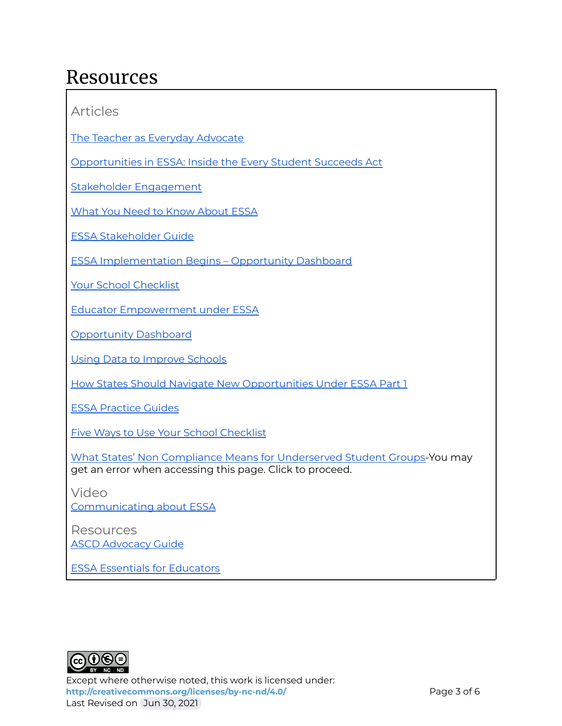### Resources

Articles

The Teacher as Everyday [Advocate](http://www.ascd.org/publications/books/109009/chapters/Introduction@-The-Teacher-as-Everyday-Advocate.aspx)

[Opportunities](https://www.edweek.org/every-student-succeeds-act/inside-the-every-student-succeeds-act/2016/01/00000175-b3d7-d517-a1fd-b3d77dd10000?cmp=cpc-goog-ew-esea-121615&ccid=sitelink_esea_cheat&ccag=esea_cheat&cckw=essa&cccv=esea_cheat&gclid=Cj0KEQjwkZfLBRCzg-69tJy84N8BEiQAffAwqvPQfSySY2BysHxqOjEEwGAS02JChuQDBc_Ojsd4ciQaAmO48P8HAQ) in ESSA: Inside the Every Student Succeeds Act

Stakeholder [Engagement](https://www2.ed.gov/programs/readingfirst/support/stakeholderlores.pdf)

What You Need to Know [About](https://www.nea.org/student-success/smart-just-policies/essa) ESSA

ESSA [Stakeholder](https://www.parentcenterhub.org/stakeholder-guide-essa/#stakeholder) Guide

ESSA [Implementation](https://www.nea.org/resource-library/opportunity-dashboard-indicators-essa) Begins – Opportunity Dashboard

Your School [Checklist](https://www.nea.org/advocating-for-change/new-from-nea/what-does-your-school-need-succeed)

Educator [Empowerment](https://www.nea.org/resource-library/educator-empowerment-under-essa) under ESSA

[Opportunity](https://www.nea.org/resource-library/opportunity-dashboard-indicators-essa) Dashboard

Using Data to [Improve](https://www.aasa.org/uploadedFiles/Policy_and_Advocacy/files/UsingDataToImproveSchools.pdf) Schools

How States Should Navigate New [Opportunities](https://www.educationnext.org/how-states-should-navigate-new-opportunities-under-essa-part-1-of-2/) Under ESSA Part 1

ESSA [Practice](https://www.nea.org/resource-library/essa-advocacy-action-handbook-and-practice-guides) Guides

Five Ways to Use Your School [Checklist](https://www.nea.org/advocating-for-change/new-from-nea/five-ways-use-your-school-checklist)

What States' Non Compliance Means for [Underserved](https://partnersforeachandeverychild.org/federal-update/archive/what-states-essa-non-compliance-means-for-underserved-student-groups/) Student Groups-You may get an error when accessing this page. Click to proceed.

Video [Communicating](https://www.youtube.com/watch?v=tHAzJ_kWiok) about ESSA

Resources **ASCD [Advocacy](http://www.ascd.org/ASCD/pdf/siteASCD/publications/advocacyguide_2009_web.pdf) Guide** 

ESSA Essentials for [Educators](http://www.ascd.org/ASCD/pdf/siteASCD/policy/ESSA-Essentials-for-Educators.pdf)



Except where otherwise noted, this work is licensed under: <http://creativecommons.org/licenses/by-nc-nd/4.0/><br>
Page 3 of 6 Last Revised on Jun 30, 2021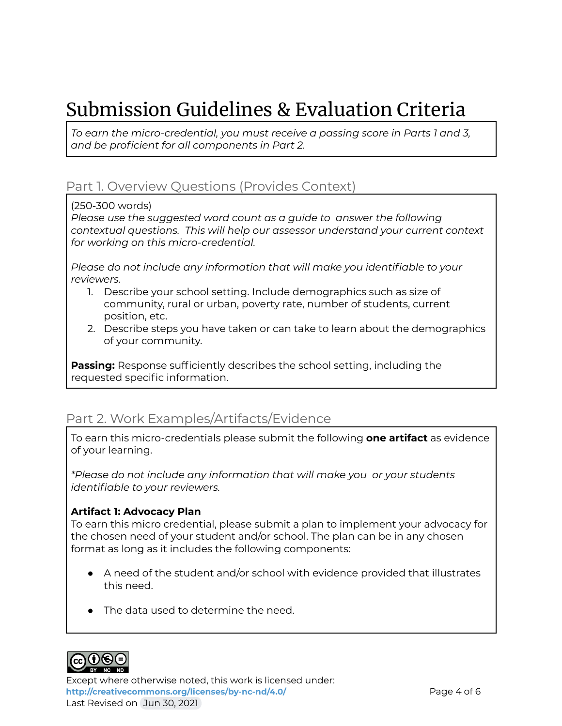# Submission Guidelines & Evaluation Criteria

*To earn the micro-credential, you must receive a passing score in Parts 1 and 3, and be proficient for all components in Part 2.*

### Part 1. Overview Questions (Provides Context)

(250-300 words)

*Please use the suggested word count as a guide to answer the following contextual questions. This will help our assessor understand your current context for working on this micro-credential.*

*Please do not include any information that will make you identifiable to your reviewers.*

- 1. Describe your school setting. Include demographics such as size of community, rural or urban, poverty rate, number of students, current position, etc.
- 2. Describe steps you have taken or can take to learn about the demographics of your community.

**Passing:** Response sufficiently describes the school setting, including the requested specific information.

### Part 2. Work Examples/Artifacts/Evidence

To earn this micro-credentials please submit the following **one artifact** as evidence of your learning.

*\*Please do not include any information that will make you or your students identifiable to your reviewers.*

#### **Artifact 1: Advocacy Plan**

To earn this micro credential, please submit a plan to implement your advocacy for the chosen need of your student and/or school. The plan can be in any chosen format as long as it includes the following components:

- $\bullet$  A need of the student and/or school with evidence provided that illustrates this need.
- The data used to determine the need.



Except where otherwise noted, this work is licensed under: **<http://creativecommons.org/licenses/by-nc-nd/4.0/>** Page 4 of 6 Last Revised on Jun 30, 2021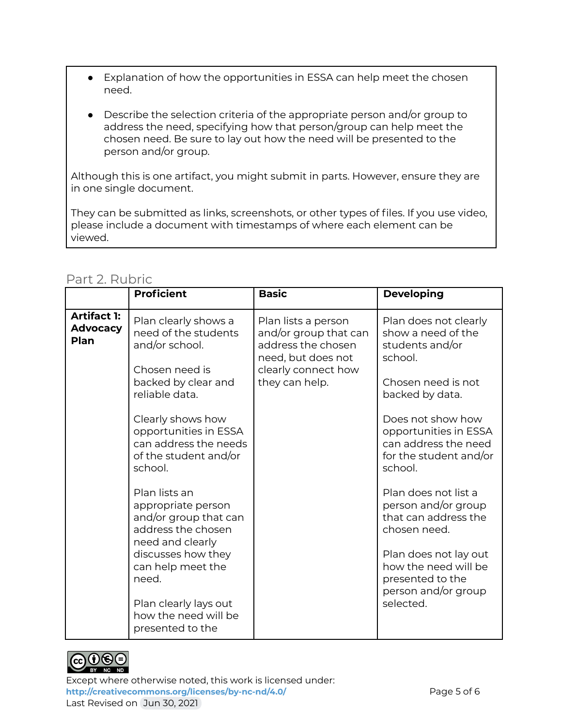- Explanation of how the opportunities in ESSA can help meet the chosen need.
- Describe the selection criteria of the appropriate person and/or group to address the need, specifying how that person/group can help meet the chosen need. Be sure to lay out how the need will be presented to the person and/or group.

Although this is one artifact, you might submit in parts. However, ensure they are in one single document.

They can be submitted as links, screenshots, or other types of files. If you use video, please include a document with timestamps of where each element can be viewed.

|                                               | <b>Proficient</b>                                                                                                                                                                                                                                                                                                          | <b>Basic</b>                                                                                                                      | <b>Developing</b>                                                                                                                                                                                                                                                                                                    |
|-----------------------------------------------|----------------------------------------------------------------------------------------------------------------------------------------------------------------------------------------------------------------------------------------------------------------------------------------------------------------------------|-----------------------------------------------------------------------------------------------------------------------------------|----------------------------------------------------------------------------------------------------------------------------------------------------------------------------------------------------------------------------------------------------------------------------------------------------------------------|
| <b>Artifact 1:</b><br><b>Advocacy</b><br>Plan | Plan clearly shows a<br>need of the students<br>and/or school.<br>Chosen need is<br>backed by clear and<br>reliable data.<br>Clearly shows how<br>opportunities in ESSA<br>can address the needs<br>of the student and/or<br>school.<br>Plan lists an<br>appropriate person<br>and/or group that can<br>address the chosen | Plan lists a person<br>and/or group that can<br>address the chosen<br>need, but does not<br>clearly connect how<br>they can help. | Plan does not clearly<br>show a need of the<br>students and/or<br>school.<br>Chosen need is not<br>backed by data.<br>Does not show how<br>opportunities in ESSA<br>can address the need<br>for the student and/or<br>school.<br>Plan does not list a<br>person and/or group<br>that can address the<br>chosen need. |
|                                               | need and clearly<br>discusses how they<br>can help meet the<br>need.<br>Plan clearly lays out<br>how the need will be<br>presented to the                                                                                                                                                                                  |                                                                                                                                   | Plan does not lay out<br>how the need will be<br>presented to the<br>person and/or group<br>selected.                                                                                                                                                                                                                |

#### Part 2. Rubric



Except where otherwise noted, this work is licensed under: <http://creativecommons.org/licenses/by-nc-nd/4.0/><br>
Page 5 of 6 Last Revised on Jun 30, 2021